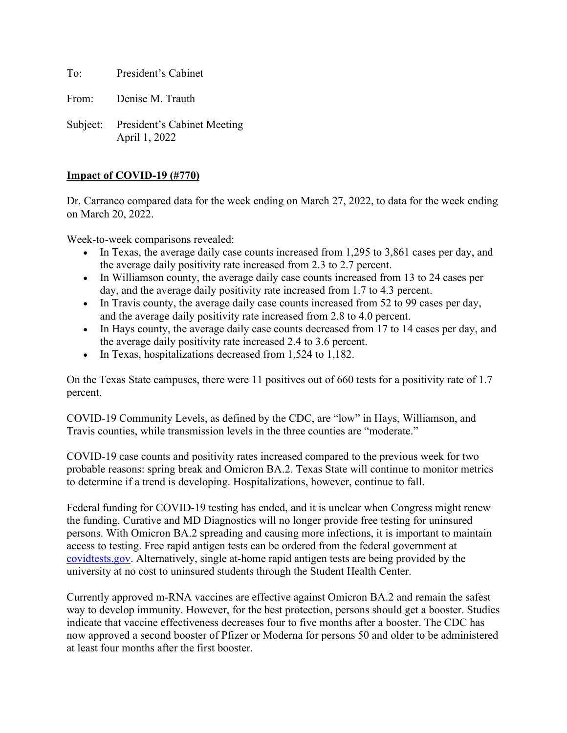To: President's Cabinet

From: Denise M. Trauth

Subject: President's Cabinet Meeting April 1, 2022

## **Impact of COVID-19 (#770)**

Dr. Carranco compared data for the week ending on March 27, 2022, to data for the week ending on March 20, 2022.

Week-to-week comparisons revealed:

- In Texas, the average daily case counts increased from 1,295 to 3,861 cases per day, and the average daily positivity rate increased from 2.3 to 2.7 percent.
- In Williamson county, the average daily case counts increased from 13 to 24 cases per day, and the average daily positivity rate increased from 1.7 to 4.3 percent.
- In Travis county, the average daily case counts increased from 52 to 99 cases per day, and the average daily positivity rate increased from 2.8 to 4.0 percent.
- In Hays county, the average daily case counts decreased from 17 to 14 cases per day, and the average daily positivity rate increased 2.4 to 3.6 percent.
- In Texas, hospitalizations decreased from 1,524 to 1,182.

On the Texas State campuses, there were 11 positives out of 660 tests for a positivity rate of 1.7 percent.

COVID-19 Community Levels, as defined by the CDC, are "low" in Hays, Williamson, and Travis counties, while transmission levels in the three counties are "moderate."

COVID-19 case counts and positivity rates increased compared to the previous week for two probable reasons: spring break and Omicron BA.2. Texas State will continue to monitor metrics to determine if a trend is developing. Hospitalizations, however, continue to fall.

Federal funding for COVID-19 testing has ended, and it is unclear when Congress might renew the funding. Curative and MD Diagnostics will no longer provide free testing for uninsured persons. With Omicron BA.2 spreading and causing more infections, it is important to maintain access to testing. Free rapid antigen tests can be ordered from the federal government at [covidtests.gov.](https://www.covidtests.gov/?utm_source=news-releases-email&utm_medium=email&utm_campaign=march-27-2022) Alternatively, single at-home rapid antigen tests are being provided by the university at no cost to uninsured students through the Student Health Center.

Currently approved m-RNA vaccines are effective against Omicron BA.2 and remain the safest way to develop immunity. However, for the best protection, persons should get a booster. Studies indicate that vaccine effectiveness decreases four to five months after a booster. The CDC has now approved a second booster of Pfizer or Moderna for persons 50 and older to be administered at least four months after the first booster.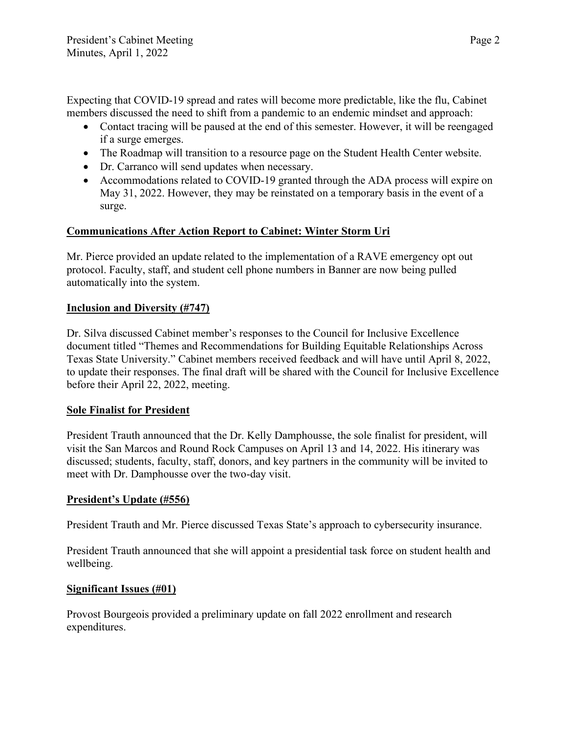Expecting that COVID-19 spread and rates will become more predictable, like the flu, Cabinet members discussed the need to shift from a pandemic to an endemic mindset and approach:

- Contact tracing will be paused at the end of this semester. However, it will be reengaged if a surge emerges.
- The Roadmap will transition to a resource page on the Student Health Center website.
- Dr. Carranco will send updates when necessary.
- Accommodations related to COVID-19 granted through the ADA process will expire on May 31, 2022. However, they may be reinstated on a temporary basis in the event of a surge.

# **Communications After Action Report to Cabinet: Winter Storm Uri**

Mr. Pierce provided an update related to the implementation of a RAVE emergency opt out protocol. Faculty, staff, and student cell phone numbers in Banner are now being pulled automatically into the system.

# **Inclusion and Diversity (#747)**

Dr. Silva discussed Cabinet member's responses to the Council for Inclusive Excellence document titled "Themes and Recommendations for Building Equitable Relationships Across Texas State University." Cabinet members received feedback and will have until April 8, 2022, to update their responses. The final draft will be shared with the Council for Inclusive Excellence before their April 22, 2022, meeting.

## **Sole Finalist for President**

President Trauth announced that the Dr. Kelly Damphousse, the sole finalist for president, will visit the San Marcos and Round Rock Campuses on April 13 and 14, 2022. His itinerary was discussed; students, faculty, staff, donors, and key partners in the community will be invited to meet with Dr. Damphousse over the two-day visit.

## **President's Update (#556)**

President Trauth and Mr. Pierce discussed Texas State's approach to cybersecurity insurance.

President Trauth announced that she will appoint a presidential task force on student health and wellbeing.

## **Significant Issues (#01)**

Provost Bourgeois provided a preliminary update on fall 2022 enrollment and research expenditures.